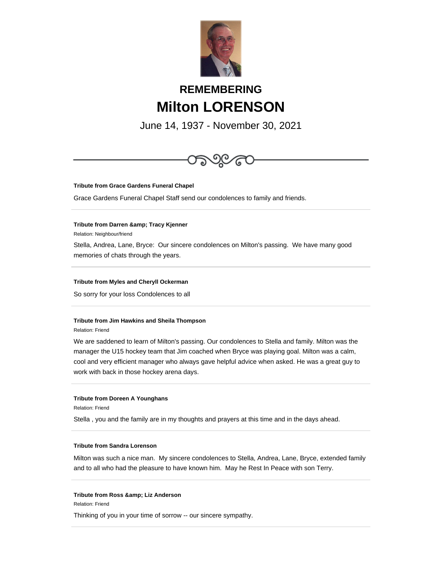

# **REMEMBERING Milton LORENSON**

June 14, 1937 - November 30, 2021



**Tribute from Grace Gardens Funeral Chapel**

Grace Gardens Funeral Chapel Staff send our condolences to family and friends.

## **Tribute from Darren & amp; Tracy Kjenner**

Relation: Neighbour/friend

Stella, Andrea, Lane, Bryce: Our sincere condolences on Milton's passing. We have many good memories of chats through the years.

# **Tribute from Myles and Cheryll Ockerman**

So sorry for your loss Condolences to all

# **Tribute from Jim Hawkins and Sheila Thompson**

Relation: Friend

We are saddened to learn of Milton's passing. Our condolences to Stella and family. Milton was the manager the U15 hockey team that Jim coached when Bryce was playing goal. Milton was a calm, cool and very efficient manager who always gave helpful advice when asked. He was a great guy to work with back in those hockey arena days.

## **Tribute from Doreen A Younghans**

Relation: Friend

Stella , you and the family are in my thoughts and prayers at this time and in the days ahead.

# **Tribute from Sandra Lorenson**

Milton was such a nice man. My sincere condolences to Stella, Andrea, Lane, Bryce, extended family and to all who had the pleasure to have known him. May he Rest In Peace with son Terry.

#### **Tribute from Ross & amp; Liz Anderson**

Relation: Friend

Thinking of you in your time of sorrow -- our sincere sympathy.